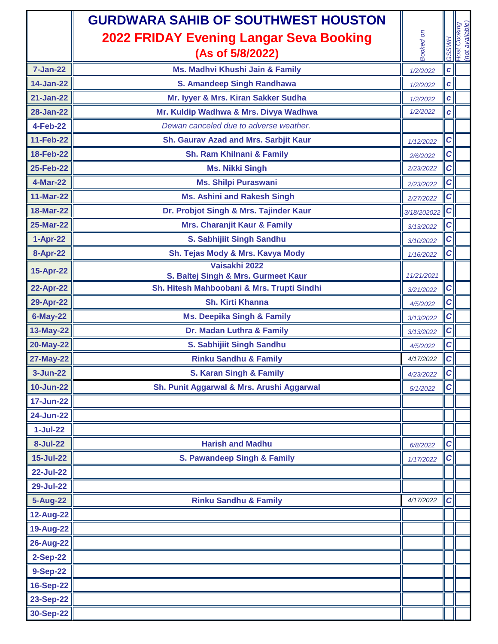| Booked on<br>2022 FRIDAY Evening Langar Seva Booking<br>(As of 5/8/2022)<br>ပ<br>ပ<br><b>7-Jan-22</b><br>Ms. Madhvi Khushi Jain & Family<br>$\boldsymbol{c}$<br>1/2/2022<br><b>14-Jan-22</b><br>S. Amandeep Singh Randhawa<br>$\mathbf{c}$<br>1/2/2022<br>$21 - Jan-22$<br>Mr. lyyer & Mrs. Kiran Sakker Sudha<br> c <br>1/2/2022<br><b>28-Jan-22</b><br>Mr. Kuldip Wadhwa & Mrs. Divya Wadhwa<br>1/2/2022<br>$\pmb{c}$<br><b>4-Feb-22</b><br>Dewan canceled due to adverse weather.<br><b>11-Feb-22</b><br>$\mathbf C$<br>Sh. Gaurav Azad and Mrs. Sarbjit Kaur<br>1/12/2022<br> c <br><b>18-Feb-22</b><br>Sh. Ram Khilnani & Family<br>2/6/2022<br> c <br>25-Feb-22<br>2/23/2022<br><b>Ms. Nikki Singh</b><br> c <br>4-Mar-22<br><b>Ms. Shilpi Puraswani</b><br>2/23/2022<br><b>11-Mar-22</b><br><b>Ms. Ashini and Rakesh Singh</b><br> c <br>2/27/2022<br>18-Mar-22<br>Dr. Probjot Singh & Mrs. Tajinder Kaur<br> c <br>3/18/202022<br><b>25-Mar-22</b><br><b>Mrs. Charanjit Kaur &amp; Family</b><br> c <br>3/13/2022<br>1-Apr-22<br>S. Sabhijiit Singh Sandhu<br> c <br>3/10/2022<br><b>8-Apr-22</b><br>Sh. Tejas Mody & Mrs. Kavya Mody<br> c <br>1/16/2022<br>Vaisakhi 2022<br>15-Apr-22<br>S. Baltej Singh & Mrs. Gurmeet Kaur<br>11/21/2021<br><b>22-Apr-22</b><br> c <br>Sh. Hitesh Mahboobani & Mrs. Trupti Sindhi<br>3/21/2022<br> c <br><b>Sh. Kirti Khanna</b><br>29-Apr-22<br>4/5/2022 | Host Cooking<br>(not available) |
|-------------------------------------------------------------------------------------------------------------------------------------------------------------------------------------------------------------------------------------------------------------------------------------------------------------------------------------------------------------------------------------------------------------------------------------------------------------------------------------------------------------------------------------------------------------------------------------------------------------------------------------------------------------------------------------------------------------------------------------------------------------------------------------------------------------------------------------------------------------------------------------------------------------------------------------------------------------------------------------------------------------------------------------------------------------------------------------------------------------------------------------------------------------------------------------------------------------------------------------------------------------------------------------------------------------------------------------------------------------------------------------------------------|---------------------------------|
|                                                                                                                                                                                                                                                                                                                                                                                                                                                                                                                                                                                                                                                                                                                                                                                                                                                                                                                                                                                                                                                                                                                                                                                                                                                                                                                                                                                                       |                                 |
|                                                                                                                                                                                                                                                                                                                                                                                                                                                                                                                                                                                                                                                                                                                                                                                                                                                                                                                                                                                                                                                                                                                                                                                                                                                                                                                                                                                                       |                                 |
|                                                                                                                                                                                                                                                                                                                                                                                                                                                                                                                                                                                                                                                                                                                                                                                                                                                                                                                                                                                                                                                                                                                                                                                                                                                                                                                                                                                                       |                                 |
|                                                                                                                                                                                                                                                                                                                                                                                                                                                                                                                                                                                                                                                                                                                                                                                                                                                                                                                                                                                                                                                                                                                                                                                                                                                                                                                                                                                                       |                                 |
|                                                                                                                                                                                                                                                                                                                                                                                                                                                                                                                                                                                                                                                                                                                                                                                                                                                                                                                                                                                                                                                                                                                                                                                                                                                                                                                                                                                                       |                                 |
|                                                                                                                                                                                                                                                                                                                                                                                                                                                                                                                                                                                                                                                                                                                                                                                                                                                                                                                                                                                                                                                                                                                                                                                                                                                                                                                                                                                                       |                                 |
|                                                                                                                                                                                                                                                                                                                                                                                                                                                                                                                                                                                                                                                                                                                                                                                                                                                                                                                                                                                                                                                                                                                                                                                                                                                                                                                                                                                                       |                                 |
|                                                                                                                                                                                                                                                                                                                                                                                                                                                                                                                                                                                                                                                                                                                                                                                                                                                                                                                                                                                                                                                                                                                                                                                                                                                                                                                                                                                                       |                                 |
|                                                                                                                                                                                                                                                                                                                                                                                                                                                                                                                                                                                                                                                                                                                                                                                                                                                                                                                                                                                                                                                                                                                                                                                                                                                                                                                                                                                                       |                                 |
|                                                                                                                                                                                                                                                                                                                                                                                                                                                                                                                                                                                                                                                                                                                                                                                                                                                                                                                                                                                                                                                                                                                                                                                                                                                                                                                                                                                                       |                                 |
|                                                                                                                                                                                                                                                                                                                                                                                                                                                                                                                                                                                                                                                                                                                                                                                                                                                                                                                                                                                                                                                                                                                                                                                                                                                                                                                                                                                                       |                                 |
|                                                                                                                                                                                                                                                                                                                                                                                                                                                                                                                                                                                                                                                                                                                                                                                                                                                                                                                                                                                                                                                                                                                                                                                                                                                                                                                                                                                                       |                                 |
|                                                                                                                                                                                                                                                                                                                                                                                                                                                                                                                                                                                                                                                                                                                                                                                                                                                                                                                                                                                                                                                                                                                                                                                                                                                                                                                                                                                                       |                                 |
|                                                                                                                                                                                                                                                                                                                                                                                                                                                                                                                                                                                                                                                                                                                                                                                                                                                                                                                                                                                                                                                                                                                                                                                                                                                                                                                                                                                                       |                                 |
|                                                                                                                                                                                                                                                                                                                                                                                                                                                                                                                                                                                                                                                                                                                                                                                                                                                                                                                                                                                                                                                                                                                                                                                                                                                                                                                                                                                                       |                                 |
|                                                                                                                                                                                                                                                                                                                                                                                                                                                                                                                                                                                                                                                                                                                                                                                                                                                                                                                                                                                                                                                                                                                                                                                                                                                                                                                                                                                                       |                                 |
|                                                                                                                                                                                                                                                                                                                                                                                                                                                                                                                                                                                                                                                                                                                                                                                                                                                                                                                                                                                                                                                                                                                                                                                                                                                                                                                                                                                                       |                                 |
|                                                                                                                                                                                                                                                                                                                                                                                                                                                                                                                                                                                                                                                                                                                                                                                                                                                                                                                                                                                                                                                                                                                                                                                                                                                                                                                                                                                                       |                                 |
|                                                                                                                                                                                                                                                                                                                                                                                                                                                                                                                                                                                                                                                                                                                                                                                                                                                                                                                                                                                                                                                                                                                                                                                                                                                                                                                                                                                                       |                                 |
| $6$ -May-22<br><b>Ms. Deepika Singh &amp; Family</b><br>C                                                                                                                                                                                                                                                                                                                                                                                                                                                                                                                                                                                                                                                                                                                                                                                                                                                                                                                                                                                                                                                                                                                                                                                                                                                                                                                                             |                                 |
| 3/13/2022<br>13-May-22<br>$\mathbf C$<br>Dr. Madan Luthra & Family                                                                                                                                                                                                                                                                                                                                                                                                                                                                                                                                                                                                                                                                                                                                                                                                                                                                                                                                                                                                                                                                                                                                                                                                                                                                                                                                    |                                 |
| 3/13/2022<br>20-May-22<br> c <br>S. Sabhijiit Singh Sandhu                                                                                                                                                                                                                                                                                                                                                                                                                                                                                                                                                                                                                                                                                                                                                                                                                                                                                                                                                                                                                                                                                                                                                                                                                                                                                                                                            |                                 |
| 4/5/2022<br>27-May-22<br><b>Rinku Sandhu &amp; Family</b><br> c <br>4/17/2022                                                                                                                                                                                                                                                                                                                                                                                                                                                                                                                                                                                                                                                                                                                                                                                                                                                                                                                                                                                                                                                                                                                                                                                                                                                                                                                         |                                 |
| c <br>$3 - Jun-22$<br>S. Karan Singh & Family<br>4/23/2022                                                                                                                                                                                                                                                                                                                                                                                                                                                                                                                                                                                                                                                                                                                                                                                                                                                                                                                                                                                                                                                                                                                                                                                                                                                                                                                                            |                                 |
| $10 - Jun-22$<br> c <br>Sh. Punit Aggarwal & Mrs. Arushi Aggarwal<br>5/1/2022                                                                                                                                                                                                                                                                                                                                                                                                                                                                                                                                                                                                                                                                                                                                                                                                                                                                                                                                                                                                                                                                                                                                                                                                                                                                                                                         |                                 |
| 17-Jun-22                                                                                                                                                                                                                                                                                                                                                                                                                                                                                                                                                                                                                                                                                                                                                                                                                                                                                                                                                                                                                                                                                                                                                                                                                                                                                                                                                                                             |                                 |
| 24-Jun-22                                                                                                                                                                                                                                                                                                                                                                                                                                                                                                                                                                                                                                                                                                                                                                                                                                                                                                                                                                                                                                                                                                                                                                                                                                                                                                                                                                                             |                                 |
| $1-Jul-22$                                                                                                                                                                                                                                                                                                                                                                                                                                                                                                                                                                                                                                                                                                                                                                                                                                                                                                                                                                                                                                                                                                                                                                                                                                                                                                                                                                                            |                                 |
| <b>8-Jul-22</b><br><b>Harish and Madhu</b><br> c <br>6/8/2022                                                                                                                                                                                                                                                                                                                                                                                                                                                                                                                                                                                                                                                                                                                                                                                                                                                                                                                                                                                                                                                                                                                                                                                                                                                                                                                                         |                                 |
| <b>15-Jul-22</b><br>S. Pawandeep Singh & Family<br>C                                                                                                                                                                                                                                                                                                                                                                                                                                                                                                                                                                                                                                                                                                                                                                                                                                                                                                                                                                                                                                                                                                                                                                                                                                                                                                                                                  |                                 |
| 1/17/2022<br><b>22-Jul-22</b>                                                                                                                                                                                                                                                                                                                                                                                                                                                                                                                                                                                                                                                                                                                                                                                                                                                                                                                                                                                                                                                                                                                                                                                                                                                                                                                                                                         |                                 |
| <b>29-Jul-22</b>                                                                                                                                                                                                                                                                                                                                                                                                                                                                                                                                                                                                                                                                                                                                                                                                                                                                                                                                                                                                                                                                                                                                                                                                                                                                                                                                                                                      |                                 |
| <b>Rinku Sandhu &amp; Family</b><br>4/17/2022<br> c <br><b>5-Aug-22</b>                                                                                                                                                                                                                                                                                                                                                                                                                                                                                                                                                                                                                                                                                                                                                                                                                                                                                                                                                                                                                                                                                                                                                                                                                                                                                                                               |                                 |
| 12-Aug-22                                                                                                                                                                                                                                                                                                                                                                                                                                                                                                                                                                                                                                                                                                                                                                                                                                                                                                                                                                                                                                                                                                                                                                                                                                                                                                                                                                                             |                                 |
| 19-Aug-22                                                                                                                                                                                                                                                                                                                                                                                                                                                                                                                                                                                                                                                                                                                                                                                                                                                                                                                                                                                                                                                                                                                                                                                                                                                                                                                                                                                             |                                 |
| 26-Aug-22                                                                                                                                                                                                                                                                                                                                                                                                                                                                                                                                                                                                                                                                                                                                                                                                                                                                                                                                                                                                                                                                                                                                                                                                                                                                                                                                                                                             |                                 |
| <b>2-Sep-22</b>                                                                                                                                                                                                                                                                                                                                                                                                                                                                                                                                                                                                                                                                                                                                                                                                                                                                                                                                                                                                                                                                                                                                                                                                                                                                                                                                                                                       |                                 |
| <b>9-Sep-22</b>                                                                                                                                                                                                                                                                                                                                                                                                                                                                                                                                                                                                                                                                                                                                                                                                                                                                                                                                                                                                                                                                                                                                                                                                                                                                                                                                                                                       |                                 |
| 16-Sep-22                                                                                                                                                                                                                                                                                                                                                                                                                                                                                                                                                                                                                                                                                                                                                                                                                                                                                                                                                                                                                                                                                                                                                                                                                                                                                                                                                                                             |                                 |
| <b>23-Sep-22</b>                                                                                                                                                                                                                                                                                                                                                                                                                                                                                                                                                                                                                                                                                                                                                                                                                                                                                                                                                                                                                                                                                                                                                                                                                                                                                                                                                                                      |                                 |
| 30-Sep-22                                                                                                                                                                                                                                                                                                                                                                                                                                                                                                                                                                                                                                                                                                                                                                                                                                                                                                                                                                                                                                                                                                                                                                                                                                                                                                                                                                                             |                                 |